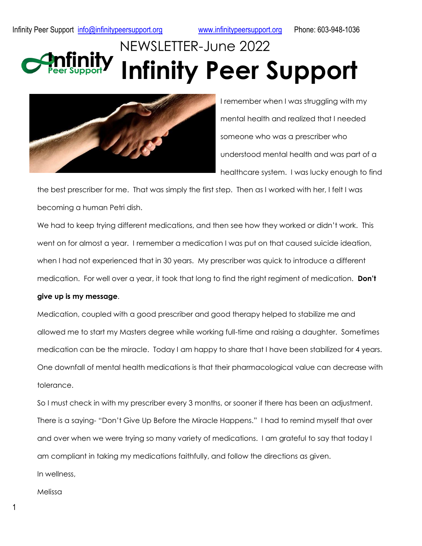## NEWSLETTER-June 2022 **Infinity Peer Support**



I remember when I was struggling with my mental health and realized that I needed someone who was a prescriber who understood mental health and was part of a healthcare system. I was lucky enough to find

the best prescriber for me. That was simply the first step. Then as I worked with her, I felt I was becoming a human Petri dish.

We had to keep trying different medications, and then see how they worked or didn't work. This went on for almost a year. I remember a medication I was put on that caused suicide ideation, when I had not experienced that in 30 years. My prescriber was quick to introduce a different medication. For well over a year, it took that long to find the right regiment of medication. **Don't** 

## **give up is my message**.

Medication, coupled with a good prescriber and good therapy helped to stabilize me and allowed me to start my Masters degree while working full-time and raising a daughter. Sometimes medication can be the miracle. Today I am happy to share that I have been stabilized for 4 years. One downfall of mental health medications is that their pharmacological value can decrease with tolerance.

So I must check in with my prescriber every 3 months, or sooner if there has been an adjustment. There is a saying- "Don't Give Up Before the Miracle Happens." I had to remind myself that over and over when we were trying so many variety of medications. I am grateful to say that today I am compliant in taking my medications faithfully, and follow the directions as given. In wellness,

Melissa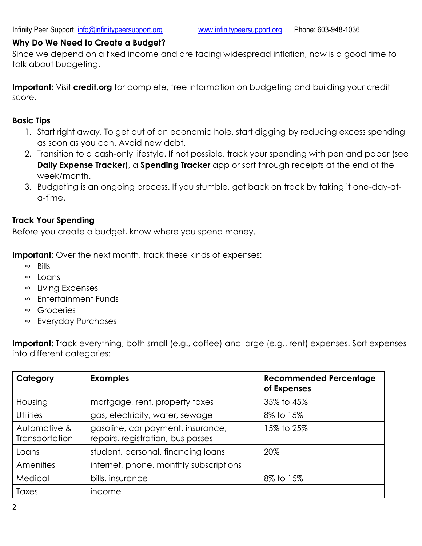## **Why Do We Need to Create a Budget?**

Since we depend on a fixed income and are facing widespread inflation, now is a good time to talk about budgeting.

**Important:** Visit **credit.org** for complete, free information on budgeting and building your credit score.

## **Basic Tips**

- 1. Start right away. To get out of an economic hole, start digging by reducing excess spending as soon as you can. Avoid new debt.
- 2. Transition to a cash-only lifestyle. If not possible, track your spending with pen and paper (see **Daily Expense Tracker**), a **Spending Tracker** app or sort through receipts at the end of the week/month.
- 3. Budgeting is an ongoing process. If you stumble, get back on track by taking it one-day-ata-time.

## **Track Your Spending**

Before you create a budget, know where you spend money.

**Important:** Over the next month, track these kinds of expenses:

- ∞ Bills
- ∞ Loans
- ∞ Living Expenses
- ∞ Entertainment Funds
- ∞ Groceries
- ∞ Everyday Purchases

**Important:** Track everything, both small (e.g., coffee) and large (e.g., rent) expenses. Sort expenses into different categories:

| Category                       | <b>Examples</b>                                                        | <b>Recommended Percentage</b><br>of Expenses |
|--------------------------------|------------------------------------------------------------------------|----------------------------------------------|
| Housing                        | mortgage, rent, property taxes                                         | 35% to 45%                                   |
| <b>Utilities</b>               | gas, electricity, water, sewage                                        | 8% to 15%                                    |
| Automotive &<br>Transportation | gasoline, car payment, insurance,<br>repairs, registration, bus passes | 15% to 25%                                   |
| Loans                          | student, personal, financing loans                                     | 20%                                          |
| Amenities                      | internet, phone, monthly subscriptions                                 |                                              |
| Medical                        | bills, insurance                                                       | 8% to 15%                                    |
| Taxes                          | income                                                                 |                                              |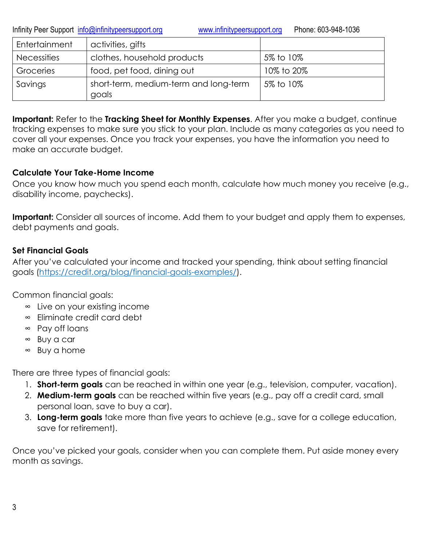Infinity Peer Support [info@infinitypeersupport.org](mailto:info@infinitypeersupport.org) [www.infinitypeersupport.org](http://www.infinitypeersupport.org/) Phone: 603-948-1036

| Entertainment      | activities, gifts                              |            |
|--------------------|------------------------------------------------|------------|
| <b>Necessities</b> | clothes, household products                    | 5% to 10%  |
| Groceries          | food, pet food, dining out                     | 10% to 20% |
| Savings            | short-term, medium-term and long-term<br>goals | 5% to 10%  |

**Important:** Refer to the **[Tracking Sheet for Monthly Expenses](file:///E:/infinity/trackingsheetformonthlyexpenses.pdf)**. After you make a budget, continue tracking expenses to make sure you stick to your plan. Include as many categories as you need to cover all your expenses. Once you track your expenses, you have the information you need to make an accurate budget.

## **Calculate Your Take-Home Income**

Once you know how much you spend each month, calculate how much money you receive (e.g., disability income, paychecks).

**Important:** Consider all sources of income. Add them to your budget and apply them to expenses, debt payments and goals.

## **Set Financial Goals**

After you've calculated your income and tracked your spending, think about setting financial goals [\(https://credit.org/blog/financial-goals-examples/\)](https://credit.org/blog/financial-goals-examples/).

Common financial goals:

- ∞ Live on your existing income
- ∞ Eliminate credit card debt
- ∞ Pay off loans
- ∞ Buy a car
- ∞ Buy a home

There are three types of financial goals:

- 1. **Short-term goals** can be reached in within one year (e.g., television, computer, vacation).
- 2. **Medium-term goals** can be reached within five years (e.g., pay off a credit card, small personal loan, save to buy a car).
- 3. **Long-term goals** take more than five years to achieve (e.g., save for a college education, save for retirement).

Once you've picked your goals, consider when you can complete them. Put aside money every month as savings.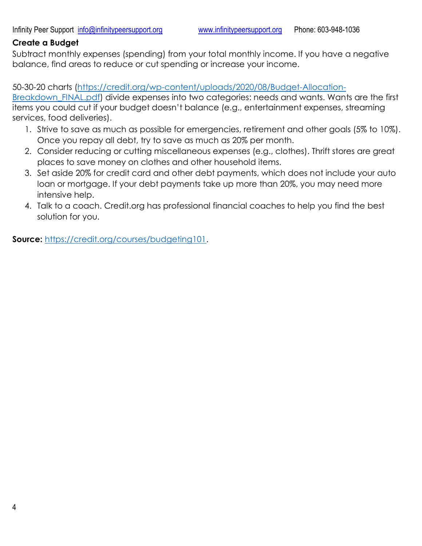## **Create a Budget**

Subtract monthly expenses (spending) from your total monthly income. If you have a negative balance, find areas to reduce or cut spending or increase your income.

50-30-20 charts [\(https://credit.org/wp-content/uploads/2020/08/Budget-Allocation-](https://credit.org/wp-content/uploads/2020/08/Budget-Allocation-Breakdown_FINAL.pdf)

[Breakdown\\_FINAL.pdf\)](https://credit.org/wp-content/uploads/2020/08/Budget-Allocation-Breakdown_FINAL.pdf) divide expenses into two categories: needs and wants. Wants are the first items you could cut if your budget doesn't balance (e.g., entertainment expenses, streaming services, food deliveries).

- 1. Strive to save as much as possible for emergencies, retirement and other goals (5% to 10%). Once you repay all debt, try to save as much as 20% per month.
- 2. Consider reducing or cutting miscellaneous expenses (e.g., clothes). Thrift stores are great places to save money on clothes and other household items.
- 3. Set aside 20% for credit card and other debt payments, which does not include your auto loan or mortgage. If your debt payments take up more than 20%, you may need more intensive help.
- 4. Talk to a coach. Credit.org has professional financial coaches to help you find the best solution for you.

**Source:** [https://credit.org/courses/budgeting101.](https://credit.org/courses/budgeting101)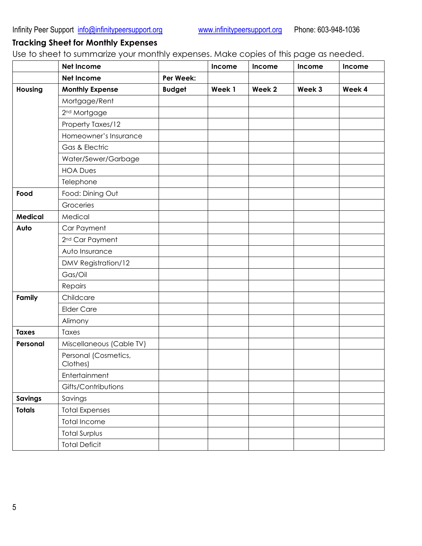## **Tracking Sheet for Monthly Expenses**

Use to sheet to summarize your monthly expenses. Make copies of this page as needed.

|                | Net Income                       |               | Income | Income | Income | Income |
|----------------|----------------------------------|---------------|--------|--------|--------|--------|
|                | <b>Net Income</b>                | Per Week:     |        |        |        |        |
| Housing        | <b>Monthly Expense</b>           | <b>Budget</b> | Week 1 | Week 2 | Week 3 | Week 4 |
|                | Mortgage/Rent                    |               |        |        |        |        |
|                | 2 <sup>nd</sup> Mortgage         |               |        |        |        |        |
|                | Property Taxes/12                |               |        |        |        |        |
|                | Homeowner's Insurance            |               |        |        |        |        |
|                | Gas & Electric                   |               |        |        |        |        |
|                | Water/Sewer/Garbage              |               |        |        |        |        |
|                | <b>HOA Dues</b>                  |               |        |        |        |        |
|                | Telephone                        |               |        |        |        |        |
| Food           | Food: Dining Out                 |               |        |        |        |        |
|                | Groceries                        |               |        |        |        |        |
| <b>Medical</b> | Medical                          |               |        |        |        |        |
| Auto           | Car Payment                      |               |        |        |        |        |
|                | 2 <sup>nd</sup> Car Payment      |               |        |        |        |        |
|                | Auto Insurance                   |               |        |        |        |        |
|                | DMV Registration/12              |               |        |        |        |        |
|                | Gas/Oil                          |               |        |        |        |        |
|                | Repairs                          |               |        |        |        |        |
| Family         | Childcare                        |               |        |        |        |        |
|                | <b>Elder Care</b>                |               |        |        |        |        |
|                | Alimony                          |               |        |        |        |        |
| <b>Taxes</b>   | Taxes                            |               |        |        |        |        |
| Personal       | Miscellaneous (Cable TV)         |               |        |        |        |        |
|                | Personal (Cosmetics,<br>Clothes) |               |        |        |        |        |
|                | Entertainment                    |               |        |        |        |        |
|                | Gifts/Contributions              |               |        |        |        |        |
| <b>Savings</b> | Savings                          |               |        |        |        |        |
| <b>Totals</b>  | <b>Total Expenses</b>            |               |        |        |        |        |
|                | <b>Total Income</b>              |               |        |        |        |        |
|                | <b>Total Surplus</b>             |               |        |        |        |        |
|                | <b>Total Deficit</b>             |               |        |        |        |        |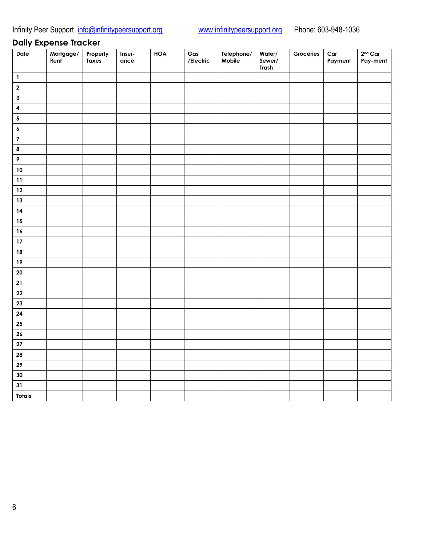## **Daily Expense Tracker**

| Date                    | Mortgage/<br>Rent | Property<br>Taxes | Insur-<br>ance | <b>HOA</b> | Gas<br>/Electric | Telephone/<br>Mobile | Water/<br>Sewer/<br>Trash | Groceries | Car<br>Payment | $2nd$ Car<br>Pay-ment |
|-------------------------|-------------------|-------------------|----------------|------------|------------------|----------------------|---------------------------|-----------|----------------|-----------------------|
| $\mathbf{1}$            |                   |                   |                |            |                  |                      |                           |           |                |                       |
| $\mathbf 2$             |                   |                   |                |            |                  |                      |                           |           |                |                       |
| $\mathbf 3$             |                   |                   |                |            |                  |                      |                           |           |                |                       |
| $\overline{\mathbf{4}}$ |                   |                   |                |            |                  |                      |                           |           |                |                       |
| $\sqrt{5}$              |                   |                   |                |            |                  |                      |                           |           |                |                       |
| $\pmb{\delta}$          |                   |                   |                |            |                  |                      |                           |           |                |                       |
| $\overline{\mathbf{7}}$ |                   |                   |                |            |                  |                      |                           |           |                |                       |
| $\pmb{8}$               |                   |                   |                |            |                  |                      |                           |           |                |                       |
| $\pmb{9}$               |                   |                   |                |            |                  |                      |                           |           |                |                       |
| $10\,$                  |                   |                   |                |            |                  |                      |                           |           |                |                       |
| $11$                    |                   |                   |                |            |                  |                      |                           |           |                |                       |
| $12$                    |                   |                   |                |            |                  |                      |                           |           |                |                       |
| $13$                    |                   |                   |                |            |                  |                      |                           |           |                |                       |
| $14$                    |                   |                   |                |            |                  |                      |                           |           |                |                       |
| 15                      |                   |                   |                |            |                  |                      |                           |           |                |                       |
| 16                      |                   |                   |                |            |                  |                      |                           |           |                |                       |
| $17\,$                  |                   |                   |                |            |                  |                      |                           |           |                |                       |
| 18                      |                   |                   |                |            |                  |                      |                           |           |                |                       |
| $19$                    |                   |                   |                |            |                  |                      |                           |           |                |                       |
| ${\bf 20}$              |                   |                   |                |            |                  |                      |                           |           |                |                       |
| ${\bf 21}$              |                   |                   |                |            |                  |                      |                           |           |                |                       |
| ${\bf 22}$              |                   |                   |                |            |                  |                      |                           |           |                |                       |
| 23                      |                   |                   |                |            |                  |                      |                           |           |                |                       |
| ${\bf 24}$              |                   |                   |                |            |                  |                      |                           |           |                |                       |
| 25                      |                   |                   |                |            |                  |                      |                           |           |                |                       |
| ${\bf 26}$              |                   |                   |                |            |                  |                      |                           |           |                |                       |
| $\bf 27$                |                   |                   |                |            |                  |                      |                           |           |                |                       |
| 28                      |                   |                   |                |            |                  |                      |                           |           |                |                       |
| 29                      |                   |                   |                |            |                  |                      |                           |           |                |                       |
| $30\,$                  |                   |                   |                |            |                  |                      |                           |           |                |                       |
| 31                      |                   |                   |                |            |                  |                      |                           |           |                |                       |
| <b>Totals</b>           |                   |                   |                |            |                  |                      |                           |           |                |                       |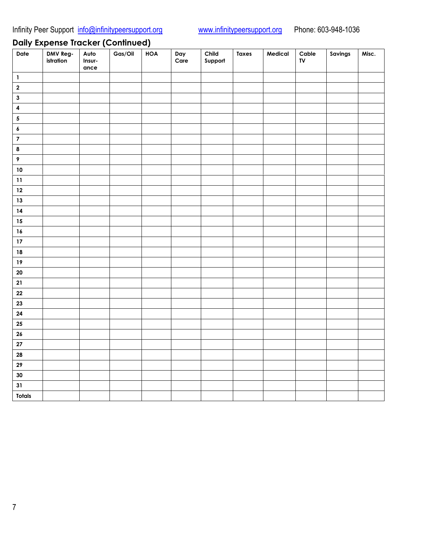## **Daily Expense Tracker (Continued)**

| Date                                    | DMV Reg-<br>istration | Auto<br>Insur-<br>ance | Gas/Oil | <b>HOA</b> | Day<br>Care | Child<br>Support | <b>Taxes</b> | Medical | ${\sf Cable}$<br>TV | Savings | Misc. |
|-----------------------------------------|-----------------------|------------------------|---------|------------|-------------|------------------|--------------|---------|---------------------|---------|-------|
| $\mathbf{1}$                            |                       |                        |         |            |             |                  |              |         |                     |         |       |
| $\mathbf 2$                             |                       |                        |         |            |             |                  |              |         |                     |         |       |
| $\mathbf{3}$                            |                       |                        |         |            |             |                  |              |         |                     |         |       |
| $\overline{\mathbf{4}}$                 |                       |                        |         |            |             |                  |              |         |                     |         |       |
| $\sqrt{5}$                              |                       |                        |         |            |             |                  |              |         |                     |         |       |
| $\pmb{6}$                               |                       |                        |         |            |             |                  |              |         |                     |         |       |
| $\overline{\mathbf{7}}$                 |                       |                        |         |            |             |                  |              |         |                     |         |       |
| $\pmb{8}$                               |                       |                        |         |            |             |                  |              |         |                     |         |       |
| $\pmb{9}$                               |                       |                        |         |            |             |                  |              |         |                     |         |       |
| $10$                                    |                       |                        |         |            |             |                  |              |         |                     |         |       |
| $\begin{array}{c} \n 11 \n \end{array}$ |                       |                        |         |            |             |                  |              |         |                     |         |       |
| $12\,$                                  |                       |                        |         |            |             |                  |              |         |                     |         |       |
| $13$                                    |                       |                        |         |            |             |                  |              |         |                     |         |       |
| $14$                                    |                       |                        |         |            |             |                  |              |         |                     |         |       |
| 15                                      |                       |                        |         |            |             |                  |              |         |                     |         |       |
| 16                                      |                       |                        |         |            |             |                  |              |         |                     |         |       |
| $17\,$                                  |                       |                        |         |            |             |                  |              |         |                     |         |       |
| ${\bf 18}$                              |                       |                        |         |            |             |                  |              |         |                     |         |       |
| $19$                                    |                       |                        |         |            |             |                  |              |         |                     |         |       |
| ${\bf 20}$                              |                       |                        |         |            |             |                  |              |         |                     |         |       |
| ${\bf 21}$                              |                       |                        |         |            |             |                  |              |         |                     |         |       |
| ${\bf 22}$                              |                       |                        |         |            |             |                  |              |         |                     |         |       |
| 23                                      |                       |                        |         |            |             |                  |              |         |                     |         |       |
| ${\bf 24}$                              |                       |                        |         |            |             |                  |              |         |                     |         |       |
| ${\bf 25}$                              |                       |                        |         |            |             |                  |              |         |                     |         |       |
| ${\bf 26}$                              |                       |                        |         |            |             |                  |              |         |                     |         |       |
| ${\bf 27}$                              |                       |                        |         |            |             |                  |              |         |                     |         |       |
| ${\bf 28}$                              |                       |                        |         |            |             |                  |              |         |                     |         |       |
| ${\bf 29}$                              |                       |                        |         |            |             |                  |              |         |                     |         |       |
| 30                                      |                       |                        |         |            |             |                  |              |         |                     |         |       |
| 31                                      |                       |                        |         |            |             |                  |              |         |                     |         |       |
| <b>Totals</b>                           |                       |                        |         |            |             |                  |              |         |                     |         |       |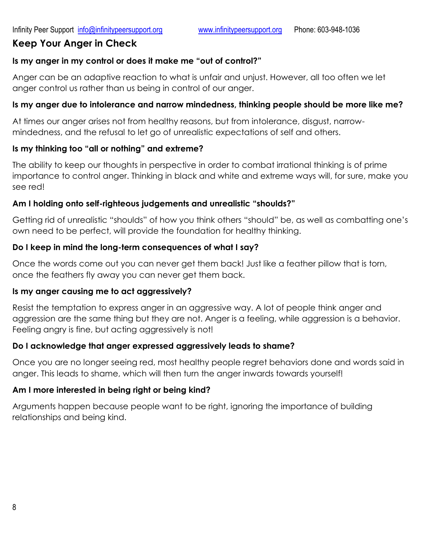## **Keep Your Anger in Check**

## **Is my anger in my control or does it make me "out of control?"**

Anger can be an adaptive reaction to what is unfair and unjust. However, all too often we let anger control us rather than us being in control of our anger.

## **Is my anger due to intolerance and narrow mindedness, thinking people should be more like me?**

At times our anger arises not from healthy reasons, but from intolerance, disgust, narrowmindedness, and the refusal to let go of unrealistic expectations of self and others.

## **Is my thinking too "all or nothing" and extreme?**

The ability to keep our thoughts in perspective in order to combat irrational thinking is of prime importance to control anger. Thinking in black and white and extreme ways will, for sure, make you see red!

## **Am I holding onto self-righteous judgements and unrealistic "shoulds?"**

Getting rid of unrealistic "shoulds" of how you think others "should" be, as well as combatting one's own need to be perfect, will provide the foundation for healthy thinking.

## **Do I keep in mind the long-term consequences of what I say?**

Once the words come out you can never get them back! Just like a feather pillow that is torn, once the feathers fly away you can never get them back.

## **Is my anger causing me to act aggressively?**

Resist the temptation to express anger in an aggressive way. A lot of people think anger and aggression are the same thing but they are not. Anger is a feeling, while aggression is a behavior. Feeling angry is fine, but acting aggressively is not!

## **Do I acknowledge that anger expressed aggressively leads to shame?**

Once you are no longer seeing red, most healthy people regret behaviors done and words said in anger. This leads to shame, which will then turn the anger inwards towards yourself!

## **Am I more interested in being right or being kind?**

Arguments happen because people want to be right, ignoring the importance of building relationships and being kind.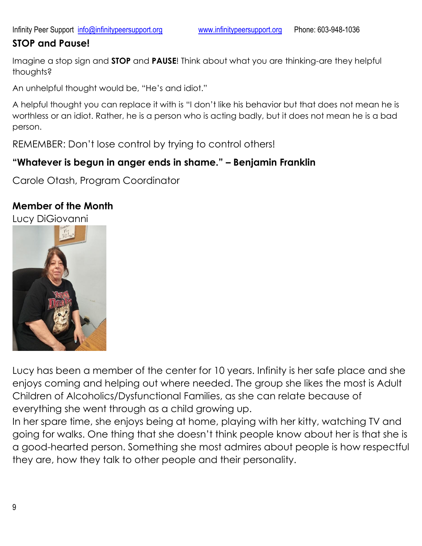## **STOP and Pause!**

Imagine a stop sign and **STOP** and **PAUSE**! Think about what you are thinking-are they helpful thoughts?

An unhelpful thought would be, "He's and idiot."

A helpful thought you can replace it with is "I don't like his behavior but that does not mean he is worthless or an idiot. Rather, he is a person who is acting badly, but it does not mean he is a bad person.

REMEMBER: Don't lose control by trying to control others!

## **"Whatever is begun in anger ends in shame." – Benjamin Franklin**

Carole Otash, Program Coordinator

## **Member of the Month**



Lucy has been a member of the center for 10 years. Infinity is her safe place and she enjoys coming and helping out where needed. The group she likes the most is Adult Children of Alcoholics/Dysfunctional Families, as she can relate because of everything she went through as a child growing up.

In her spare time, she enjoys being at home, playing with her kitty, watching TV and going for walks. One thing that she doesn't think people know about her is that she is a good-hearted person. Something she most admires about people is how respectful they are, how they talk to other people and their personality.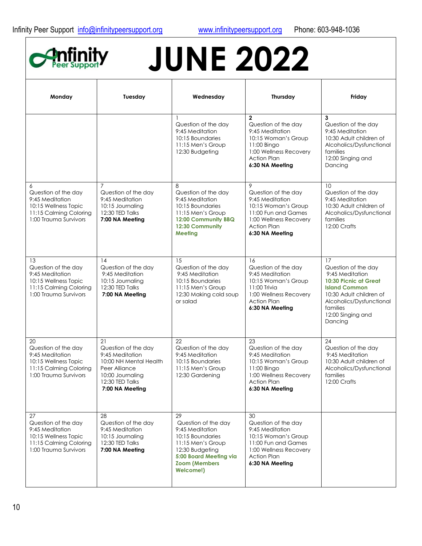

# **JUNE 2022**

| Monday                                                                                                                  | Tuesday                                                                                                                                           | Wednesday                                                                                                                                                               | Thursday                                                                                                                                                        | Friday                                                                                                                                                                                                  |
|-------------------------------------------------------------------------------------------------------------------------|---------------------------------------------------------------------------------------------------------------------------------------------------|-------------------------------------------------------------------------------------------------------------------------------------------------------------------------|-----------------------------------------------------------------------------------------------------------------------------------------------------------------|---------------------------------------------------------------------------------------------------------------------------------------------------------------------------------------------------------|
|                                                                                                                         |                                                                                                                                                   | Question of the day<br>9:45 Meditation<br>10:15 Boundaries<br>11:15 Men's Group<br>12:30 Budgeting                                                                      | $\mathbf{2}$<br>Question of the day<br>9:45 Meditation<br>10:15 Woman's Group<br>11:00 Bingo<br>1:00 Wellness Recovery<br><b>Action Plan</b><br>6:30 NA Meeting | 3<br>Question of the day<br>9:45 Meditation<br>10:30 Adult children of<br>Alcoholics/Dysfunctional<br>families<br>12:00 Singing and<br>Dancing                                                          |
| 6<br>Question of the day<br>9:45 Meditation<br>10:15 Wellness Topic<br>11:15 Calming Coloring<br>1:00 Trauma Survivors  | $\overline{7}$<br>Question of the day<br>9:45 Meditation<br>10:15 Journaling<br>12:30 TED Talks<br>7:00 NA Meeting                                | 8<br>Question of the day<br>9:45 Meditation<br>10:15 Boundaries<br>11:15 Men's Group<br>12:00 Community BBQ<br>12:30 Community<br>Meeting                               | 9<br>Question of the day<br>9:45 Meditation<br>10:15 Woman's Group<br>11:00 Fun and Games<br>1:00 Wellness Recovery<br><b>Action Plan</b><br>6:30 NA Meeting    | 10<br>Question of the day<br>9:45 Meditation<br>10:30 Adult children of<br>Alcoholics/Dysfunctional<br>families<br>12:00 Crafts                                                                         |
| 13<br>Question of the day<br>9:45 Meditation<br>10:15 Wellness Topic<br>11:15 Calming Coloring<br>1:00 Trauma Survivors | 14<br>Question of the day<br>9:45 Meditation<br>10:15 Journaling<br>12:30 TED Talks<br>7:00 NA Meeting                                            | 15<br>Question of the day<br>9:45 Meditation<br>10:15 Boundaries<br>11:15 Men's Group<br>12:30 Making cold soup<br>or salad                                             | 16<br>Question of the day<br>9:45 Meditation<br>10:15 Woman's Group<br>11:00 Trivia<br>1:00 Wellness Recovery<br><b>Action Plan</b><br>6:30 NA Meeting          | 17<br>Question of the day<br>9:45 Meditation<br><b>10:30 Picnic at Great</b><br><b>Island Common</b><br>10:30 Adult children of<br>Alcoholics/Dysfunctional<br>families<br>12:00 Singing and<br>Dancing |
| 20<br>Question of the day<br>9:45 Meditation<br>10:15 Wellness Topic<br>11:15 Calming Coloring<br>1:00 Trauma Survivors | 21<br>Question of the day<br>9:45 Meditation<br>10:00 NH Mental Health<br>Peer Alliance<br>10:00 Journaling<br>12:30 TED Talks<br>7:00 NA Meeting | 22<br>Question of the day<br>9:45 Meditation<br>10:15 Boundaries<br>11:15 Men's Group<br>12:30 Gardening                                                                | 23<br>Question of the day<br>9:45 Meditation<br>10:15 Woman's Group<br>11:00 Bingo<br>1:00 Wellness Recovery<br><b>Action Plan</b><br>6:30 NA Meeting           | 24<br>Question of the day<br>9:45 Meditation<br>10:30 Adult children of<br>Alcoholics/Dysfunctional<br>families<br>12:00 Crafts                                                                         |
| 27<br>Question of the day<br>9:45 Meditation<br>10:15 Wellness Topic<br>11:15 Calming Coloring<br>1:00 Trauma Survivors | 28<br>Question of the day<br>9:45 Meditation<br>10:15 Journaling<br>12:30 TED Talks<br>7:00 NA Meeting                                            | 29<br>Question of the day<br>9:45 Meditation<br>10:15 Boundaries<br>11:15 Men's Group<br>12:30 Budgeting<br>5:00 Board Meeting via<br><b>Zoom (Members</b><br>Welcome!) | 30<br>Question of the day<br>9:45 Meditation<br>10:15 Woman's Group<br>11:00 Fun and Games<br>1:00 Wellness Recovery<br><b>Action Plan</b><br>6:30 NA Meeting   |                                                                                                                                                                                                         |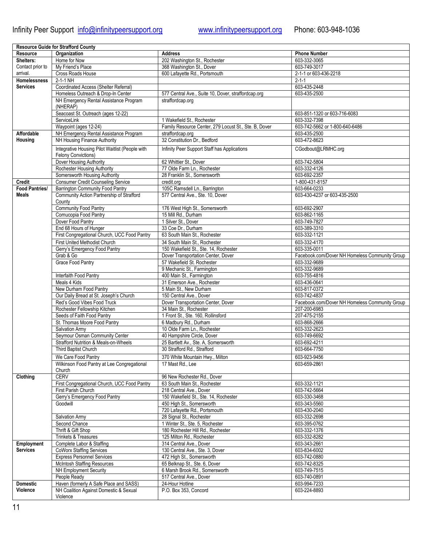h

|                       | <b>Resource Guide for Strafford County</b>      |                                                       |                                                |
|-----------------------|-------------------------------------------------|-------------------------------------------------------|------------------------------------------------|
| Resource              | Organization                                    | <b>Address</b>                                        | <b>Phone Number</b>                            |
| Shelters:             | Home for Now                                    | 202 Washington St., Rochester                         | 603-332-3065                                   |
| Contact prior to      | My Friend's Place                               | 368 Washington St., Dover                             | 603-749-3017                                   |
| arrival.              | Cross Roads House                               | 600 Lafayette Rd., Portsmouth                         | 2-1-1 or 603-436-2218                          |
| <b>Homelessness</b>   | $2-1-1$ NH                                      |                                                       | $2 - 1 - 1$                                    |
| <b>Services</b>       | Coordinated Access (Shelter Referral)           |                                                       | 603-435-2448                                   |
|                       | Homeless Outreach & Drop-In Center              | 577 Central Ave., Suite 10, Dover, straffordcap.org   | 603-435-2500                                   |
|                       |                                                 |                                                       |                                                |
|                       | NH Emergency Rental Assistance Program          | straffordcap.org                                      |                                                |
|                       | (NHERAP)                                        |                                                       |                                                |
|                       | Seacoast St. Outreach (ages 12-22)              |                                                       | 603-851-1320 or 603-716-6083                   |
|                       | ServiceLink                                     | 1 Wakefield St., Rochester                            | 603-332-7398                                   |
|                       | Waypoint (ages 12-24)                           | Family Resource Center, 279 Locust St., Ste. B, Dover | 603-742-5662 or 1-800-640-6486                 |
| <b>Affordable</b>     | NH Emergency Rental Assistance Program          | straffordcap.org                                      | 603-435-2500                                   |
| Housing               | NH Housing Finance Authority                    | 32 Constitution Dr., Bedford                          | 603-472-8623                                   |
|                       |                                                 |                                                       |                                                |
|                       | Integrative Housing Pilot Waitlist (People with | Infinity Peer Support Staff has Applications          | CGodbout@LRMHC.org                             |
|                       | Felony Convictions)                             |                                                       |                                                |
|                       | Dover Housing Authority                         | 62 Whittier St., Dover                                | 603-742-5804                                   |
|                       | Rochester Housing Authority                     | 77 Olde Farm Ln., Rochester                           | 603-332-4126                                   |
|                       | Somersworth Housing Authority                   | 28 Franklin St., Somersworth                          | 603-692-2357                                   |
| <b>Credit</b>         | <b>Consumer Credit Counseling Service</b>       | credit.org                                            | 1-800-431-8157                                 |
| <b>Food Pantries/</b> | <b>Barrington Community Food Pantry</b>         | 105C Ramsdell Ln., Barrington                         | 603-664-0233                                   |
| Meals                 | Community Action Partnership of Strafford       | 577 Central Ave., Ste. 10, Dover                      | 603-430-4237 or 603-435-2500                   |
|                       | County                                          |                                                       |                                                |
|                       | <b>Community Food Pantry</b>                    | 176 West High St., Somersworth                        | 603-692-2907                                   |
|                       | Cornucopia Food Pantry                          | 15 Mill Rd., Durham                                   | 603-862-1165                                   |
|                       | Dover Food Pantry                               | 1 Silver St., Dover                                   | 603-749-7827                                   |
|                       |                                                 |                                                       |                                                |
|                       | End 68 Hours of Hunger                          | 33 Coe Dr., Durham                                    | 603-389-3310                                   |
|                       | First Congregational Church, UCC Food Pantry    | 63 South Main St., Rochester                          | 603-332-1121                                   |
|                       | First United Methodist Church                   | 34 South Main St., Rochester                          | 603-332-4170                                   |
|                       | Gerry's Emergency Food Pantry                   | 150 Wakefield St., Ste. 14, Rochester                 | 603-335-0011                                   |
|                       | Grab & Go                                       | Dover Transportation Center, Dover                    | Facebook.com/Dover NH Homeless Community Group |
|                       | <b>Grace Food Pantry</b>                        | 57 Wakefield St. Rochester                            | 603-332-9689                                   |
|                       |                                                 | 9 Mechanic St., Farmington                            | 603-332-9689                                   |
|                       | Interfaith Food Pantry                          | 400 Main St., Farmington                              | 603-755-4816                                   |
|                       | Meals 4 Kids                                    | 31 Emerson Ave., Rochester                            | 603-436-0641                                   |
|                       | New Durham Food Pantry                          | 5 Main St., New Durham                                | 603-817-0372                                   |
|                       |                                                 |                                                       | 603-742-4837                                   |
|                       | Our Daily Bread at St. Joseph's Church          | 150 Central Ave., Dover                               |                                                |
|                       | Red's Good Vibes Food Truck                     | Dover Transportation Center, Dover                    | Facebook.com/Dover NH Homeless Community Group |
|                       | Rochester Fellowship Kitchen                    | 34 Main St., Rochester                                | 207-200-6983                                   |
|                       | Seeds of Faith Food Pantry                      | 1 Front St., Ste. 160, Rollinsford                    | 207-475-2155                                   |
|                       | St. Thomas Moore Food Pantry                    | 6 Madbury Rd., Durham                                 | 603-868-2666                                   |
|                       | <b>Salvation Army</b>                           | 10 Olde Farm Ln., Rochester                           | 603-332-2623                                   |
|                       | Seymour Osman Community Center                  | 40 Hampshire Circle, Dover                            | 603-749-6692                                   |
|                       | Strafford Nutrition & Meals-on-Wheels           | 25 Bartlett Av., Ste. A, Somersworth                  | 603-692-4211                                   |
|                       | Third Baptist Church                            | 30 Strafford Rd., Strafford                           | 603-664-7750                                   |
|                       | We Care Food Pantry                             | 370 White Mountain Hwy., Milton                       | 603-923-9456                                   |
|                       | Wilkinson Food Pantry at Lee Congregational     | 17 Mast Rd., Lee                                      | 603-659-2861                                   |
|                       | Church                                          |                                                       |                                                |
| Clothing              | <b>CERV</b>                                     | 96 New Rochester Rd., Dover                           |                                                |
|                       |                                                 |                                                       |                                                |
|                       | First Congregational Church, UCC Food Pantry    | 63 South Main St., Rochester                          | 603-332-1121                                   |
|                       | First Parish Church                             | 218 Central Ave., Dover                               | 603-742-5664                                   |
|                       | Gerry's Emergency Food Pantry                   | 150 Wakefield St., Ste. 14, Rochester                 | 603-330-3468                                   |
|                       | Goodwill                                        | 450 High St., Somersworth                             | 603-343-5560                                   |
|                       |                                                 | 720 Lafayette Rd., Portsmouth                         | 603-430-2040                                   |
|                       | Salvation Army                                  | 28 Signal St., Rochester                              | 603-332-2698                                   |
|                       | Second Chance                                   | 1 Winter St., Ste. 5, Rochester                       | 603-395-0762                                   |
|                       | Thrift & Gift Shop                              | 180 Rochester Hill Rd., Rochester                     | 603-332-1376                                   |
|                       | <b>Trinkets &amp; Treasures</b>                 | 125 Milton Rd., Rochester                             | 603-332-8282                                   |
| Employment            | Complete Labor & Staffing                       | 314 Central Ave., Dover                               | 603-343-2661                                   |
| <b>Services</b>       | <b>CoWorx Staffing Services</b>                 | 130 Central Ave., Ste. 3, Dover                       | 603-834-6002                                   |
|                       |                                                 |                                                       | 603-742-0880                                   |
|                       | <b>Express Personnel Services</b>               | 472 High St., Somersworth                             |                                                |
|                       | <b>McIntosh Staffing Resources</b>              | 65 Belknap St., Ste. 6, Dover                         | 603-742-8325                                   |
|                       | <b>NH Employment Security</b>                   | 6 Marsh Brook Rd., Somersworth                        | 603-749-7515                                   |
|                       | People Ready                                    | 517 Central Ave., Dover                               | 603-740-0891                                   |
| <b>Domestic</b>       | Haven (formerly A Safe Place and SASS)          | 24-Hour Hotline                                       | 603-994-7233                                   |
| Violence              | NH Coalition Against Domestic & Sexual          | P.O. Box 353, Concord                                 | 603-224-8893                                   |
|                       | Violence                                        |                                                       |                                                |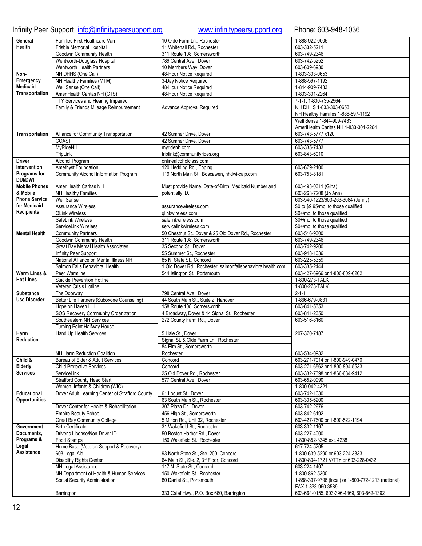## Infinity Peer Support [info@infinitypeersupport.org](mailto:info@infinitypeersupport.org) [www.infinitypeersupport.org](http://www.infinitypeersupport.org/) Phone: 603-948-1036

| General              | Families First Healthcare Van                   | 10 Olde Farm Ln., Rochester                                 | 1-888-922-0005                                                 |
|----------------------|-------------------------------------------------|-------------------------------------------------------------|----------------------------------------------------------------|
| <b>Health</b>        | Frisbie Memorial Hospital                       | 11 Whitehall Rd., Rochester                                 | 603-332-5211                                                   |
|                      | Goodwin Community Health                        | 311 Route 108. Somersworth                                  | 603-749-2346                                                   |
|                      |                                                 |                                                             |                                                                |
|                      | Wentworth-Douglass Hospital                     | 789 Central Ave., Dover                                     | 603-742-5252                                                   |
|                      | Wentworth Health Partners                       | 10 Members Way, Dover                                       | 603-609-6930                                                   |
| Non-                 | NH DHHS (One Call)                              | 48-Hour Notice Required                                     | 1-833-303-0653                                                 |
|                      |                                                 |                                                             |                                                                |
| Emergency            | NH Healthy Families (MTM)                       | 3-Day Notice Required                                       | 1-888-597-1192                                                 |
| <b>Medicaid</b>      | Well Sense (One Call)                           | 48-Hour Notice Required                                     | 1-844-909-7433                                                 |
| Transportation       | AmeriHealth Caritas NH (CTS)                    | 48-Hour Notice Required                                     | 1-833-301-2264                                                 |
|                      |                                                 |                                                             |                                                                |
|                      | TTY Services and Hearing Impaired               |                                                             | 7-1-1, 1-800-735-2964                                          |
|                      | Family & Friends Mileage Reimbursement          | Advance Approval Required                                   | NH DHHS 1-833-303-0653                                         |
|                      |                                                 |                                                             | NH Healthy Families 1-888-597-1192                             |
|                      |                                                 |                                                             | Well Sense 1-844-909-7433                                      |
|                      |                                                 |                                                             |                                                                |
|                      |                                                 |                                                             | AmeriHealth Caritas NH 1-833-301-2264                          |
| Transportation       | Alliance for Community Transportation           | 42 Sumner Drive, Dover                                      | 603-743-5777 x120                                              |
|                      | COAST                                           | 42 Sumner Drive, Dover                                      | 603-743-5777                                                   |
|                      |                                                 |                                                             |                                                                |
|                      | MyRideNH                                        | myridenh.com                                                | 603-335-7433                                                   |
|                      | TripLink                                        | triplink@communityrides.org                                 | 603-843-6010                                                   |
| <b>Driver</b>        | Alcohol Program                                 | onlinealcoholclass.com                                      |                                                                |
|                      |                                                 |                                                             |                                                                |
| Intervention         | Amethyst Foundation                             | 120 Hedding Rd., Epping                                     | 603-679-2100                                                   |
| Programs for         | Community Alcohol Information Program           | 119 North Main St., Boscawen, nhdwi-caip.com                | 603-753-8181                                                   |
| <b>DUI/DWI</b>       |                                                 |                                                             |                                                                |
| <b>Mobile Phones</b> | AmeriHealth Caritas NH                          | Must provide Name, Date-of-Birth, Medicaid Number and       | 603-493-0311 (Gina)                                            |
|                      |                                                 |                                                             |                                                                |
| & Mobile             | NH Healthy Families                             | potentially ID.                                             | 603-263-7208 (Jo Ann)                                          |
| <b>Phone Service</b> | Well Sense                                      |                                                             | 603-540-1223/603-263-3084 (Jenny)                              |
| for Medicaid         | <b>Assurance Wireless</b>                       | assurancewireless.com                                       | \$0 to \$9.95/mo. to those qualified                           |
| <b>Recipients</b>    |                                                 |                                                             |                                                                |
|                      | <b>QLink Wireless</b>                           | glinkwireless.com                                           | \$0+/mo. to those qualified                                    |
|                      | SafeLink Wireless                               | safelinkwireless.com                                        | \$0+/mo. to those qualified                                    |
|                      | ServiceLink Wireless                            | servicelinkwireless.com                                     | \$0+/mo. to those qualified                                    |
| <b>Mental Health</b> |                                                 |                                                             |                                                                |
|                      | <b>Community Partners</b>                       | 50 Chestnut St., Dover & 25 Old Dover Rd., Rochester        | 603-516-9300                                                   |
|                      | Goodwin Community Health                        | 311 Route 108, Somersworth                                  | 603-749-2346                                                   |
|                      | Great Bay Mental Health Associates              | 35 Second St., Dover                                        | 603-742-9200                                                   |
|                      | Infinity Peer Support                           | 55 Summer St., Rochester                                    | 603-948-1036                                                   |
|                      |                                                 |                                                             |                                                                |
|                      | National Alliance on Mental Illness NH          | 85 N. State St., Concord                                    | 603-225-5359                                                   |
|                      | Salmon Falls Behavioral Health                  | 1 Old Dover Rd., Rochester, salmonfallsbehavioralhealth.com | 603-335-2444                                                   |
| Warm Lines &         | Peer Warmline                                   | 544 Islington St., Portsmouth                               | 603-427-6966 or 1-800-809-6262                                 |
|                      | Suicide Prevention Hotline                      |                                                             | 1-800-273-TALK                                                 |
|                      |                                                 |                                                             |                                                                |
| <b>Hot Lines</b>     |                                                 |                                                             |                                                                |
|                      | Veteran Crisis Hotline                          |                                                             | 1-800-273-TALK                                                 |
|                      |                                                 |                                                             |                                                                |
| <b>Substance</b>     | The Doorway                                     | 798 Central Ave., Dover                                     | $2 - 1 - 1$                                                    |
| <b>Use Disorder</b>  | Better Life Partners (Suboxone Counseling)      | 44 South Main St., Suite 2, Hanover                         | 1-866-679-0831                                                 |
|                      | Hope on Haven Hill                              | 158 Route 108, Somersworth                                  | 603-841-5353                                                   |
|                      |                                                 |                                                             |                                                                |
|                      | SOS Recovery Community Organization             | 4 Broadway, Dover & 14 Signal St., Rochester                | 603-841-2350                                                   |
|                      | Southeastern NH Services                        | 272 County Farm Rd., Dover                                  | 603-516-8160                                                   |
|                      | Turning Point Halfway House                     |                                                             |                                                                |
| Harm                 | Hand Up Health Services                         | 5 Hale St., Dover                                           | 207-370-7187                                                   |
|                      |                                                 |                                                             |                                                                |
| <b>Reduction</b>     |                                                 | Signal St. & Olde Farm Ln., Rochester                       |                                                                |
|                      |                                                 | 84 Elm St., Somersworth                                     |                                                                |
|                      | NH Harm Reduction Coalition                     | Rochester                                                   | 603-534-0932                                                   |
| Child &              | Bureau of Elder & Adult Services                | Concord                                                     | 603-271-7014 or 1-800-949-0470                                 |
|                      |                                                 |                                                             |                                                                |
| Elderly              | <b>Child Protective Services</b>                | Concord                                                     | 603-271-6562 or 1-800-894-5533                                 |
| <b>Services</b>      | ServiceLink                                     | 25 Old Dover Rd., Rochester                                 | 603-332-7398 or 1-866-634-9412                                 |
|                      | <b>Strafford County Head Start</b>              | 577 Central Ave., Dover                                     | 603-652-0990                                                   |
|                      |                                                 |                                                             |                                                                |
|                      | Women, Infants & Children (WIC)                 |                                                             | 1-800-942-4321                                                 |
| Educational          | Dover Adult Learning Center of Strafford County | 61 Locust St., Dover                                        | 603-742-1030                                                   |
| <b>Opportunities</b> |                                                 | 63 South Main St., Rochester                                | 603-335-6200                                                   |
|                      | Dover Center for Health & Rehabilitation        | 307 Plaza Dr., Dover                                        | 603-742-2676                                                   |
|                      |                                                 |                                                             |                                                                |
|                      | <b>Empire Beauty School</b>                     | 456 High St., Somersworth                                   | 603-842-6192                                                   |
|                      | <b>Great Bay Community College</b>              | 5 Milton Rd., Unit 32, Rochester                            | 603-427-7600 or 1-800-522-1194                                 |
| <b>Government</b>    | <b>Birth Certificate</b>                        | 31 Wakefield St., Rochester                                 | 603-332-1167                                                   |
| Documents,           |                                                 |                                                             |                                                                |
|                      | Driver's License/Non-Driver ID                  | 50 Boston Harbor Rd., Dover                                 | 603-227-4000                                                   |
| Programs &           | Food Stamps                                     | 150 Wakefield St., Rochester                                | 1-800-852-3345 ext. 4238                                       |
| Legal                | Home Base (Veteran Support & Recovery)          |                                                             | 617-724-5205                                                   |
| Assistance           |                                                 |                                                             |                                                                |
|                      | 603 Legal Aid                                   | 93 North State St., Ste. 200, Concord                       | 1-800-639-5290 or 603-224-3333                                 |
|                      | <b>Disability Rights Center</b>                 | 64 Main St., Ste. 2, 3rd Floor, Concord                     | 1-800-834-1721 V/TTY or 603-228-0432                           |
|                      | NH Legal Assistance                             | 117 N. State St., Concord                                   | 603-224-1407                                                   |
|                      |                                                 |                                                             |                                                                |
|                      | NH Department of Health & Human Services        | 150 Wakefield St., Rochester                                | 1-800-862-5300                                                 |
|                      | Social Security Administration                  | 80 Daniel St., Portsmouth                                   | 1-888-397-9796 (local) or 1-800-772-1213 (national)            |
|                      | Barrington                                      | 333 Calef Hwy., P.O. Box 660, Barrington                    | FAX 1-833-950-3589<br>603-664-0155, 603-396-4469, 603-862-1392 |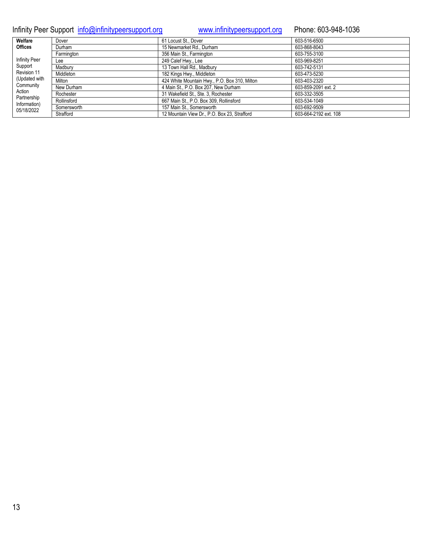Infinity Peer Support [info@infinitypeersupport.org](mailto:info@infinitypeersupport.org) [www.infinitypeersupport.org](http://www.infinitypeersupport.org/) Phone: 603-948-1036

| Welfare                    | Dover       | 61 Locust St., Dover                          | 603-516-6500          |
|----------------------------|-------------|-----------------------------------------------|-----------------------|
| <b>Offices</b>             | Durham      | 15 Newmarket Rd., Durham                      | 603-868-8043          |
|                            | Farmington  | 356 Main St., Farmington                      | 603-755-3100          |
| <b>Infinity Peer</b>       | Lee         | 249 Calef Hwy., Lee                           | 603-969-8251          |
| Support                    | Madbury     | 13 Town Hall Rd., Madbury                     | 603-742-5131          |
| Revision 11                | Middleton   | 182 Kings Hwy., Middleton                     | 603-473-5230          |
| (Updated with              | Milton      | 424 White Mountain Hwy., P.O. Box 310, Milton | 603-403-2320          |
| Community                  | New Durham  | 4 Main St., P.O. Box 207, New Durham          | 603-859-2091 ext. 2   |
| Action<br>Partnership      | Rochester   | 31 Wakefield St., Ste. 3, Rochester           | 603-332-3505          |
| Information)<br>05/18/2022 | Rollinsford | 667 Main St., P.O. Box 309, Rollinsford       | 603-534-1049          |
|                            | Somersworth | 157 Main St., Somersworth                     | 603-692-9509          |
|                            | Strafford   | 12 Mountain View Dr., P.O. Box 23, Strafford  | 603-664-2192 ext. 108 |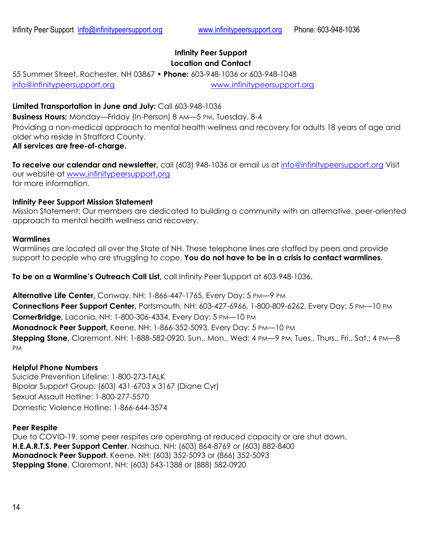## **Infinity Peer Support Location and Contact**

55 Summer Street, Rochester, NH 03867 • **Phone:** 603-948-1036 or 603-948-1048 [info@infinitypeersupport.org](mailto:info@infinitypeersupport.org) [www.infinitypeersupport.org](http://www.infinitypeersupport.org/)

## **Limited Transportation in June and July:** Call 603-948-1036

**Business Hours:** Monday—Friday (In-Person) 8 AM—5 PM, Tuesday, 8-4 Providing a non-medical approach to mental health wellness and recovery for adults 18 years of age and older who reside in Strafford County.

## **All services are free-of-charge.**

**To receive our calendar and newsletter,** call (603) 948-1036 or email us at [info@infinitypeersupport.org](mailto:info@infinitypeersupport.org) Visit our website at [www.infinitypeersupport.org](http://www.infinitypeersupport.org/) for more information.

## **Infinity Peer Support Mission Statement**

Mission Statement: Our members are dedicated to building a community with an alternative, peer-oriented approach to mental health wellness and recovery.

## **Warmlines**

Warmlines are located all over the State of NH. These telephone lines are staffed by peers and provide support to people who are struggling to cope. **You do not have to be in a crisis to contact warmlines.**

**To be on a Warmline's Outreach Call List,** call Infinity Peer Support at 603-948-1036.

**Alternative Life Center,** Conway, NH: 1-866-447-1765, Every Day: 5 PM—9 PM **Connections Peer Support Center,** Portsmouth, NH: 603-427-6966, 1-800-809-6262, Every Day: 5 PM—10 PM **CornerBridge,** Laconia, NH: 1-800-306-4334, Every Day: 5 PM—10 PM **Monadnock Peer Support,** Keene, NH: 1-866-352-5093, Every Day: 5 PM—10 PM **Stepping Stone,** Claremont, NH: 1-888-582-0920, Sun., Mon., Wed: 4 PM—9 PM, Tues., Thurs., Fri., Sat.: 4 PM—8 PM

## **Helpful Phone Numbers**

Suicide Prevention Lifeline: 1-800-273-TALK Bipolar Support Group: (603) 431-6703 x 3167 (Diane Cyr) Sexual Assault Hotline: 1-800-277-5570 Domestic Violence Hotline: 1-866-644-3574

## **Peer Respite**

Due to COVID-19, some peer respites are operating at reduced capacity or are shut down. **H.E.A.R.T.S. Peer Support Center**, Nashua, NH: (603) 864-8769 or (603) 882-8400 **Monadnock Peer Support**, Keene, NH: (603) 352-5093 or (866) 352-5093 **Stepping Stone**, Claremont, NH: (603) 543-1388 or (888) 582-0920